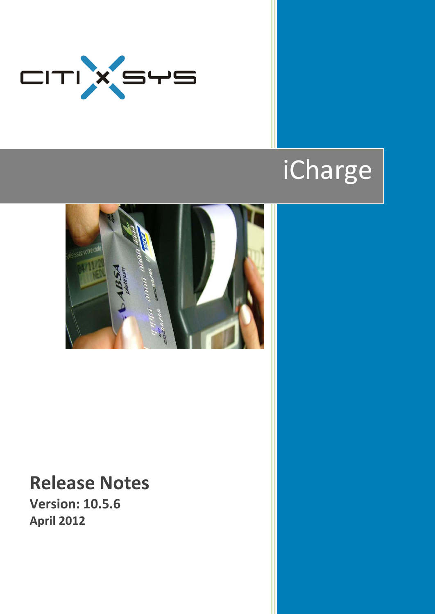

# iCharge



# **Release Notes**

**Version: 10.5.6 April 2012**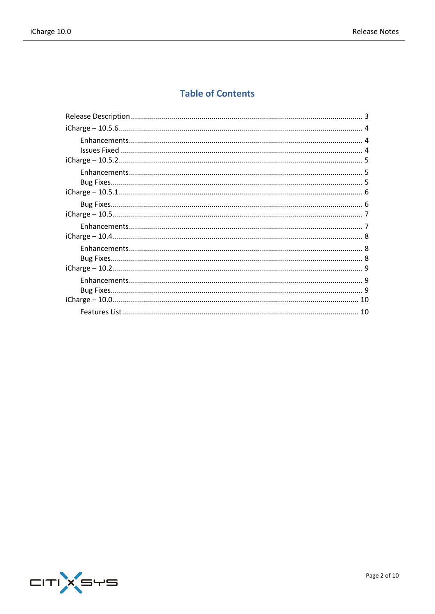# **Table of Contents**

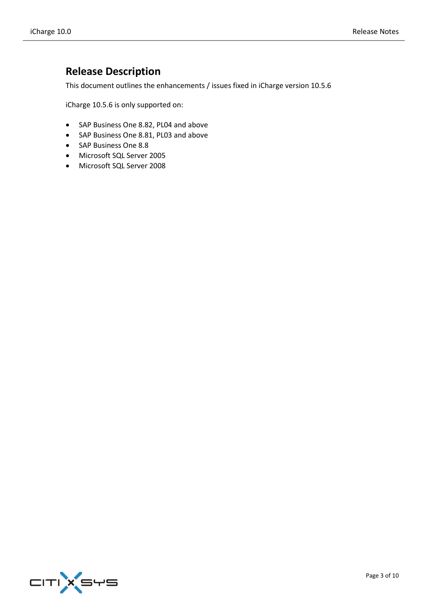# <span id="page-2-0"></span>**Release Description**

This document outlines the enhancements / issues fixed in iCharge version 10.5.6

iCharge 10.5.6 is only supported on:

- SAP Business One 8.82, PL04 and above
- SAP Business One 8.81, PL03 and above
- SAP Business One 8.8
- Microsoft SQL Server 2005
- Microsoft SQL Server 2008

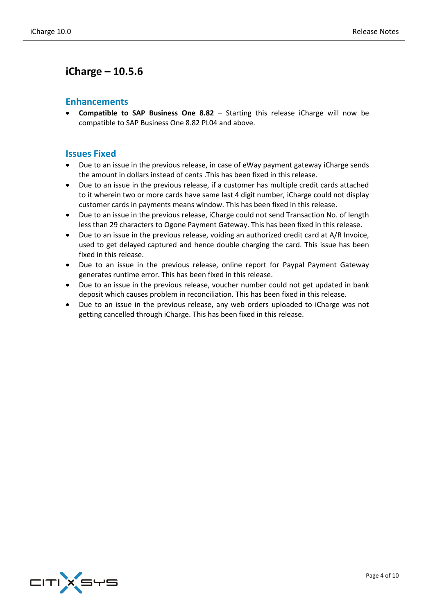#### <span id="page-3-1"></span><span id="page-3-0"></span>**Enhancements**

 **Compatible to SAP Business One 8.82** – Starting this release iCharge will now be compatible to SAP Business One 8.82 PL04 and above.

#### <span id="page-3-2"></span>**Issues Fixed**

- Due to an issue in the previous release, in case of eWay payment gateway iCharge sends the amount in dollars instead of cents .This has been fixed in this release.
- Due to an issue in the previous release, if a customer has multiple credit cards attached to it wherein two or more cards have same last 4 digit number, iCharge could not display customer cards in payments means window. This has been fixed in this release.
- Due to an issue in the previous release, iCharge could not send Transaction No. of length less than 29 characters to Ogone Payment Gateway. This has been fixed in this release.
- Due to an issue in the previous release, voiding an authorized credit card at A/R Invoice, used to get delayed captured and hence double charging the card. This issue has been fixed in this release.
- Due to an issue in the previous release, online report for Paypal Payment Gateway generates runtime error. This has been fixed in this release.
- Due to an issue in the previous release, voucher number could not get updated in bank deposit which causes problem in reconciliation. This has been fixed in this release.
- Due to an issue in the previous release, any web orders uploaded to iCharge was not getting cancelled through iCharge. This has been fixed in this release.

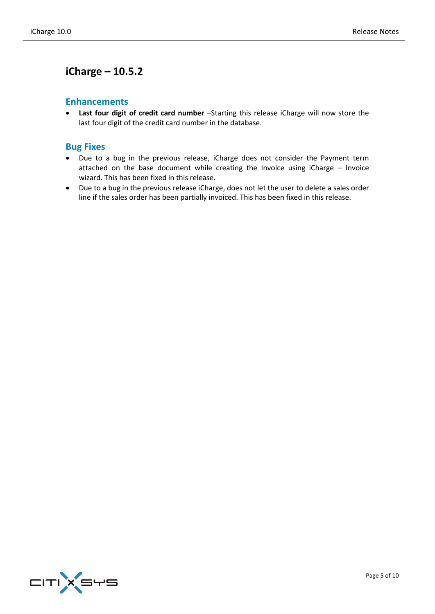#### <span id="page-4-1"></span><span id="page-4-0"></span>**Enhancements**

 **Last four digit of credit card number** –Starting this release iCharge will now store the last four digit of the credit card number in the database.

#### <span id="page-4-2"></span>**Bug Fixes**

- Due to a bug in the previous release, iCharge does not consider the Payment term attached on the base document while creating the Invoice using iCharge – Invoice wizard. This has been fixed in this release.
- Due to a bug in the previous release iCharge, does not let the user to delete a sales order line if the sales order has been partially invoiced. This has been fixed in this release.

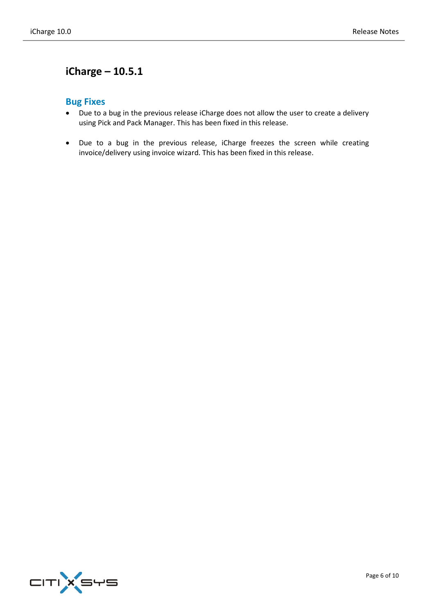## <span id="page-5-1"></span><span id="page-5-0"></span>**Bug Fixes**

- Due to a bug in the previous release iCharge does not allow the user to create a delivery using Pick and Pack Manager. This has been fixed in this release.
- Due to a bug in the previous release, iCharge freezes the screen while creating invoice/delivery using invoice wizard. This has been fixed in this release.

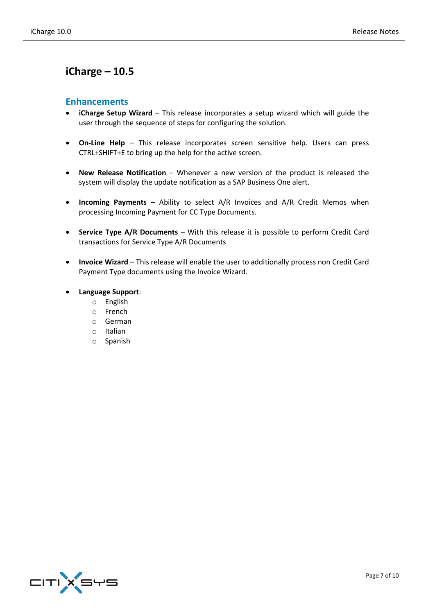#### <span id="page-6-1"></span><span id="page-6-0"></span>**Enhancements**

- **iCharge Setup Wizard** This release incorporates a setup wizard which will guide the user through the sequence of steps for configuring the solution.
- **On-Line Help** This release incorporates screen sensitive help. Users can press CTRL+SHIFT+E to bring up the help for the active screen.
- **New Release Notification** Whenever a new version of the product is released the system will display the update notification as a SAP Business One alert.
- **Incoming Payments** Ability to select A/R Invoices and A/R Credit Memos when processing Incoming Payment for CC Type Documents.
- **Service Type A/R Documents** With this release it is possible to perform Credit Card transactions for Service Type A/R Documents
- **Invoice Wizard** This release will enable the user to additionally process non Credit Card Payment Type documents using the Invoice Wizard.
- **Language Support**:
	- o English
	- o French
	- o German
	- o Italian
	- o Spanish

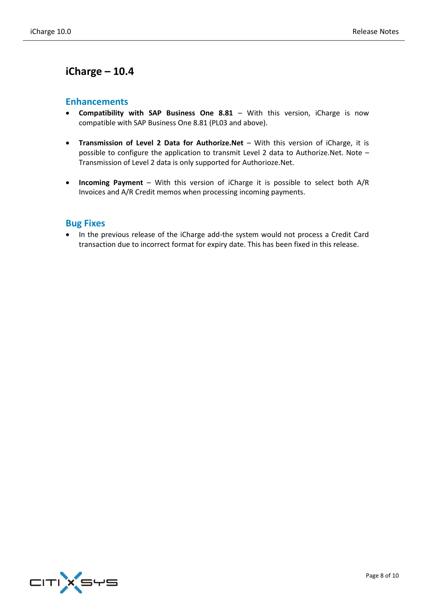#### <span id="page-7-1"></span><span id="page-7-0"></span>**Enhancements**

- **Compatibility with SAP Business One 8.81** With this version, iCharge is now compatible with SAP Business One 8.81 (PL03 and above).
- **Transmission of Level 2 Data for Authorize.Net** With this version of iCharge, it is possible to configure the application to transmit Level 2 data to Authorize.Net. Note – Transmission of Level 2 data is only supported for Authorioze.Net.
- **Incoming Payment** With this version of iCharge it is possible to select both A/R Invoices and A/R Credit memos when processing incoming payments.

#### <span id="page-7-2"></span>**Bug Fixes**

 In the previous release of the iCharge add-the system would not process a Credit Card transaction due to incorrect format for expiry date. This has been fixed in this release.

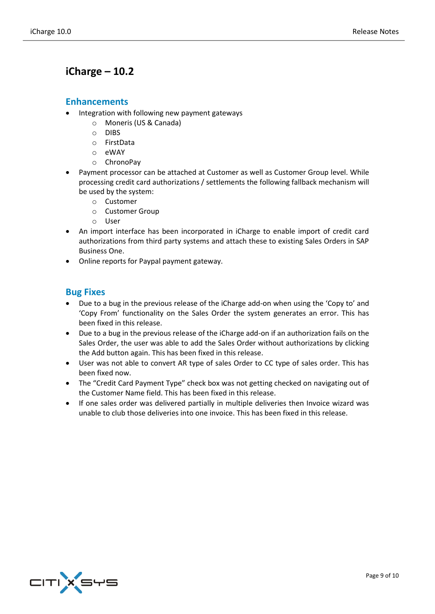#### <span id="page-8-1"></span><span id="page-8-0"></span>**Enhancements**

- Integration with following new payment gateways
	- o Moneris (US & Canada)
		- o DIBS
		- o FirstData
		- o eWAY
		- o ChronoPay
- Payment processor can be attached at Customer as well as Customer Group level. While processing credit card authorizations / settlements the following fallback mechanism will be used by the system:
	- o Customer
	- o Customer Group
	- o User
- An import interface has been incorporated in iCharge to enable import of credit card authorizations from third party systems and attach these to existing Sales Orders in SAP Business One.
- Online reports for Paypal payment gateway.

#### <span id="page-8-2"></span>**Bug Fixes**

- Due to a bug in the previous release of the iCharge add-on when using the 'Copy to' and 'Copy From' functionality on the Sales Order the system generates an error. This has been fixed in this release.
- Due to a bug in the previous release of the iCharge add-on if an authorization fails on the Sales Order, the user was able to add the Sales Order without authorizations by clicking the Add button again. This has been fixed in this release.
- User was not able to convert AR type of sales Order to CC type of sales order. This has been fixed now.
- The "Credit Card Payment Type" check box was not getting checked on navigating out of the Customer Name field. This has been fixed in this release.
- If one sales order was delivered partially in multiple deliveries then Invoice wizard was unable to club those deliveries into one invoice. This has been fixed in this release.